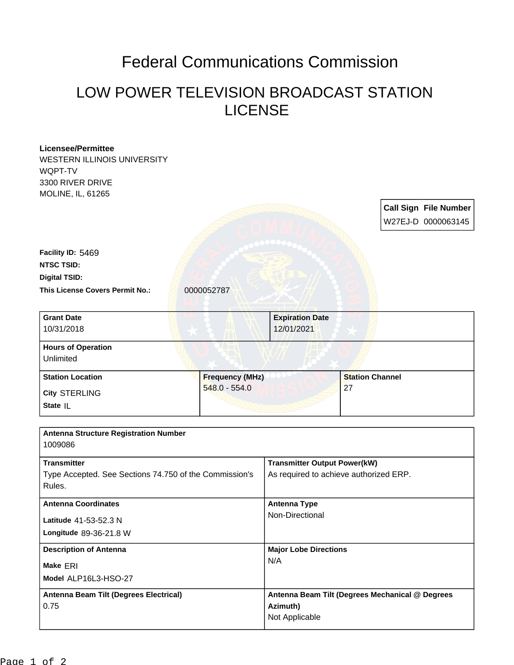## Federal Communications Commission

## LOW POWER TELEVISION BROADCAST STATION LICENSE

| <b>Licensee/Permittee</b>                               |                        |                                                             |    |                        |                              |
|---------------------------------------------------------|------------------------|-------------------------------------------------------------|----|------------------------|------------------------------|
| WESTERN ILLINOIS UNIVERSITY                             |                        |                                                             |    |                        |                              |
| WQPT-TV                                                 |                        |                                                             |    |                        |                              |
| 3300 RIVER DRIVE                                        |                        |                                                             |    |                        |                              |
| <b>MOLINE, IL, 61265</b>                                |                        |                                                             |    |                        |                              |
|                                                         |                        |                                                             |    |                        | <b>Call Sign File Number</b> |
|                                                         |                        |                                                             |    |                        | W27EJ-D 0000063145           |
|                                                         |                        |                                                             |    |                        |                              |
| Facility ID: 5469                                       |                        |                                                             |    |                        |                              |
| <b>NTSC TSID:</b>                                       |                        |                                                             |    |                        |                              |
| <b>Digital TSID:</b>                                    |                        |                                                             |    |                        |                              |
| This License Covers Permit No.:                         | 0000052787             |                                                             |    |                        |                              |
|                                                         |                        |                                                             |    |                        |                              |
| <b>Grant Date</b>                                       |                        | <b>Expiration Date</b>                                      |    |                        |                              |
| 10/31/2018                                              |                        | 12/01/2021                                                  |    |                        |                              |
|                                                         |                        |                                                             |    |                        |                              |
| <b>Hours of Operation</b>                               |                        |                                                             |    |                        |                              |
| Unlimited                                               |                        |                                                             |    |                        |                              |
| <b>Station Location</b>                                 | <b>Frequency (MHz)</b> |                                                             |    | <b>Station Channel</b> |                              |
| <b>City STERLING</b>                                    | 548.0 - 554.0          |                                                             | 27 |                        |                              |
| State IL                                                |                        |                                                             |    |                        |                              |
|                                                         |                        |                                                             |    |                        |                              |
|                                                         |                        |                                                             |    |                        |                              |
| <b>Antenna Structure Registration Number</b><br>1009086 |                        |                                                             |    |                        |                              |
|                                                         |                        |                                                             |    |                        |                              |
| <b>Transmitter</b>                                      |                        | <b>Transmitter Output Power(kW)</b>                         |    |                        |                              |
| Type Accepted. See Sections 74.750 of the Commission's  |                        | As required to achieve authorized ERP.                      |    |                        |                              |
| Rules.                                                  |                        |                                                             |    |                        |                              |
| <b>Antenna Coordinates</b>                              |                        | <b>Antenna Type</b>                                         |    |                        |                              |
| Latitude 41-53-52.3 N                                   |                        | Non-Directional                                             |    |                        |                              |
|                                                         |                        |                                                             |    |                        |                              |
| Longitude 89-36-21.8 W                                  |                        |                                                             |    |                        |                              |
| <b>Description of Antenna</b><br>Make ERI               |                        | <b>Major Lobe Directions</b><br>N/A                         |    |                        |                              |
|                                                         |                        |                                                             |    |                        |                              |
| Antenna Beam Tilt (Degrees Electrical)                  |                        |                                                             |    |                        |                              |
| 0.75                                                    |                        | Antenna Beam Tilt (Degrees Mechanical @ Degrees<br>Azimuth) |    |                        |                              |
|                                                         |                        |                                                             |    | Not Applicable         |                              |
|                                                         |                        |                                                             |    |                        |                              |